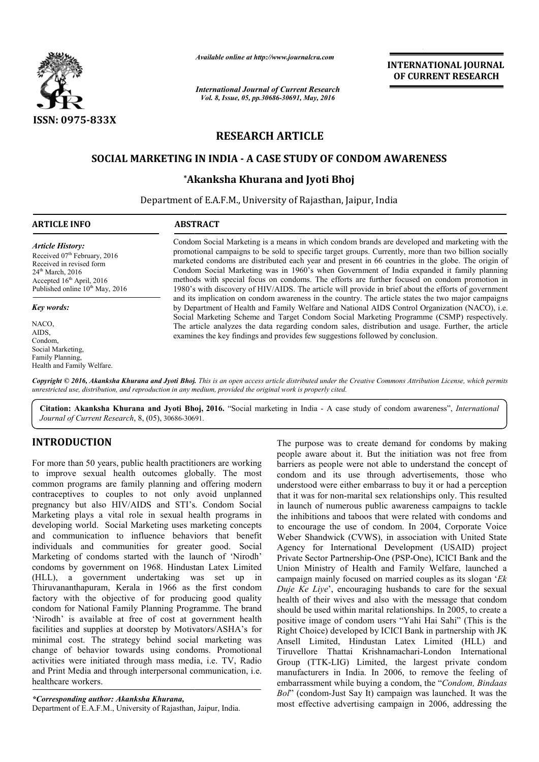

*Available online at http://www.journalcra.com*

*International Journal of Current Research Vol. 8, Issue, 05, pp.30686-30691, May, 2016*

**INTERNATIONAL JOURNAL OF CURRENT RESEARCH** 

# **RESEARCH ARTICLE**

# **SOCIAL MARKETING IN INDIA - A CASE STUDY OF CONDOM AWARENESS STUDY OF**

# **\*Akanksha Khurana and Jyoti Bhoj Akanksha**

Department of E.A.F.M., University of Rajasthan, Jaipur, India  $\overline{a}$ 

## **ARTICLE INFO ABSTRACT**

*Article History:* Received 07<sup>th</sup> February, 2016 Received in revised form 24<sup>th</sup> March, 2016 Accepted  $16<sup>th</sup>$  April, 2016 Published online  $10^{th}$  May, 2016

*Key words:*

NACO, AIDS, Condom, Social Marketing, Family Planning, Health and Family Welfare. Condom Social Marketing is a means in which condom brands are developed and marketing with the promotional campaigns to be sold to specific target groups. Currently, more than two billion socially marketed condoms are distributed each year and present in 6 66 countries in the globe. The Condom Social Marketing was in 1960's when Government of India expanded it family planning methods with special focus on condoms. The efforts are further focused on condom promotion in 1980's with discovery of HIV/AIDS. The article will provide in brief about the efforts of government and its implication on condom awareness in the country. The article states the two major campaigns by Department of Health and Family Welfare and National AIDS Control Organization (NACO), i.e. Social Marketing Scheme and Target Condom Social Marketing Programme (CSMP) respectively. The article analyzes the data regarding condom sales, distribution and usage. Further, the article examines the key findings and provides few suggestions followed by conclusion. Available online at http://www.journalcra.com<br>
INTERN.<br>
International Journal of Current Research<br>
<sup>3</sup> Vol. 8, Issue, 05, pp.30636-30691, May, 2016<br> **RESEARCH ARTICLE**<br> **G IN INDIA - A CASE STUDY OF CONDOM AWARE**<br>
<sup>2</sup> **RES** Condom Social Marketing is a means in which condom brands are developed and marketing with the<br>promotional campaigns to be sold to specific target groups. Currently, more than two billion socially<br>marketed condoms are dist Condom Social Marketing was in 1960's when Government of India expanded it family planning methods with special focus on condoms. The efforts are further focused on condom promotion in 1980's with discovery of HIV/AIDS. Th Social Marketing Scheme and Target Condom Social Marketing Programme (CSMP) respectively.<br>The article analyzes the data regarding condom sales, distribution and usage. Further, the article<br>examines the key findings and pro

Copyright © 2016, Akanksha Khurana and Jyoti Bhoj. This is an open access article distributed under the Creative Commons Attribution License, which permits *unrestricted use, distribution, and reproduction in any medium, provided the original work is properly cited.*

Citation: Akanksha Khurana and Jyoti Bhoj, 2016. "Social marketing in India - A case study of condom awareness", *International Journal of Current Research*, 8, (05), 30686-30691.

# **INTRODUCTION**

For more than 50 years, public health practitioners are working to improve sexual health outcomes globally. The most common programs are family planning and offering modern contraceptives to couples to not only avoid unplanned pregnancy but also HIV/AIDS and STI's. Condom Social Marketing plays a vital role in sexual health programs in developing world. Social Marketing uses marketing concepts and communication to influence behaviors that benefit individuals and communities for greater good. Social Marketing of condoms started with the launch of 'Nirodh' condoms by government on 1968. Hindustan Latex Limited (HLL), a government undertaking was set up in Thiruvananthapuram, Kerala in 1966 as the first condom factory with the objective of for producing good quality condom for National Family Planning Programme. The brand 'Nirodh' is available at free of cost at government health facilities and supplies at doorstep by Motivators/ASHA's for minimal cost. The strategy behind social marketing was change of behavior towards using condoms. Promotional activities were initiated through mass media, i.e. TV, Radio and Print Media and through interpersonal communication, i.e. healthcare workers. facilities and supplies at doorstep by Motivators/ASHA<br>minimal cost. The strategy behind social marketing<br>change of behavior towards using condoms. Prome<br>activities were initiated through mass media, i.e. TV,<br>and Print Med

*\*Corresponding author: Akanksha Khurana,*

The purpose was to create demand for condoms by making people aware about it. But the initiation was not free from barriers as people were not able to understand the concept of condom and its use through advertisements, those who understood were either embarrass to buy it or had a perception that it was for non-marital sex relationships only. This resulted in launch of numerous public awareness campaigns to tackle the inhibitions and taboos that were related with condoms and to encourage the use of condom. In 2004, Corporate Voice Weber Shandwick (CVWS), in association with United State Agency for International Development (USAID) project Private Sector Partnership-One (PSP-One), ICICI Bank and the Union Ministry of Health and Family Welfare, launched a Union Ministry of Health and Family Welfare, launched a campaign mainly focused on married couples as its slogan '*Ek Duje Ke Liye*', encouraging husbands to care for the sexual health of their wives and also with the message that condom should be used within marital relationships. In 2005, to create a positive image of condom users "Yahi Hai Sahi" (This is the Right Choice) developed by ICICI Bank in partnership with JK Ansell Limited, Hindustan Latex Limited (HLL) and Tiruvellore Thattai Krishnamachari Group (TTK-LIG) Limited, the largest private condom manufacturers in India. In 2006, to remove the feeling of embarrassment while buying a condom, the "*Condom, Bindaas* embarrassment while buying a condom, the "Condom, Bindaas" *Bol*" (condom-Just Say It) campaign was launched. It was the most effective advertising campaign in 2006, addressing the ple aware about it. But the initiation was not free from riers as people were not able to understand the concept of idom and its use through advertisements, those who derstood were either embarrass to buy it or had a perce Weber Shandwick (CVWS), in association with United State<br>Agency for International Development (USAID) project<br>Private Sector Partnership-One (PSP-One), ICICI Bank and the to care for the sexual<br>the same and also with the message that condom<br>in marital relationships. In 2005, to create a<br>ondom users "Yahi Hai Sahi" (This is the<br>loped by ICICI Bank in partnership with JK<br>Hindustan Latex Limit **INTERNATIONAL JOURNAL OF CURRENT RESEARCH**<br> **OF CURRENT RESEARCH**<br> **OF CURRENT RESEARCH**<br> **OF CURRENT RESEARCH**<br> **OF CURRENT RESEARCH**<br> **OF CURRENT RESEARCH**<br> **OF CURRENT ASSEMENT AND CONTIFICATION**<br> **OF THE CONSTANTS CON**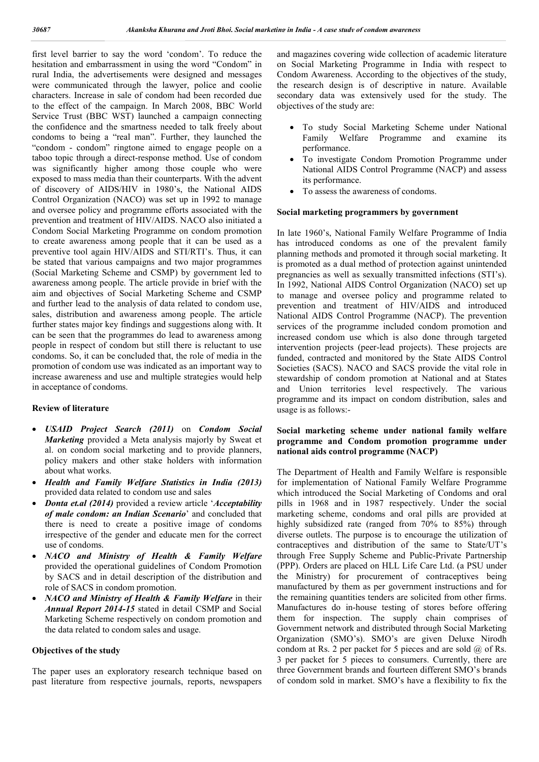first level barrier to say the word 'condom'. To reduce the hesitation and embarrassment in using the word "Condom" in rural India, the advertisements were designed and messages were communicated through the lawyer, police and coolie characters. Increase in sale of condom had been recorded due to the effect of the campaign. In March 2008, BBC World Service Trust (BBC WST) launched a campaign connecting the confidence and the smartness needed to talk freely about condoms to being a "real man". Further, they launched the "condom - condom" ringtone aimed to engage people on a taboo topic through a direct-response method. Use of condom was significantly higher among those couple who were exposed to mass media than their counterparts. With the advent of discovery of AIDS/HIV in 1980's, the National AIDS Control Organization (NACO) was set up in 1992 to manage and oversee policy and programme efforts associated with the prevention and treatment of HIV/AIDS. NACO also initiated a Condom Social Marketing Programme on condom promotion to create awareness among people that it can be used as a preventive tool again HIV/AIDS and STI/RTI's. Thus, it can be stated that various campaigns and two major programmes (Social Marketing Scheme and CSMP) by government led to awareness among people. The article provide in brief with the aim and objectives of Social Marketing Scheme and CSMP and further lead to the analysis of data related to condom use, sales, distribution and awareness among people. The article further states major key findings and suggestions along with. It can be seen that the programmes do lead to awareness among people in respect of condom but still there is reluctant to use condoms. So, it can be concluded that, the role of media in the promotion of condom use was indicated as an important way to increase awareness and use and multiple strategies would help in acceptance of condoms.

#### **Review of literature**

- *USAID Project Search (2011)* on *Condom Social Marketing* provided a Meta analysis majorly by Sweat et al. on condom social marketing and to provide planners, policy makers and other stake holders with information about what works.
- *Health and Family Welfare Statistics in India (2013)*  provided data related to condom use and sales
- *Donta et.al (2014)* provided a review article '*Acceptability of male condom: an Indian Scenario*' and concluded that there is need to create a positive image of condoms irrespective of the gender and educate men for the correct use of condoms.
- *NACO and Ministry of Health & Family Welfare*  provided the operational guidelines of Condom Promotion by SACS and in detail description of the distribution and role of SACS in condom promotion.
- *NACO and Ministry of Health & Family Welfare* in their *Annual Report 2014-15* stated in detail CSMP and Social Marketing Scheme respectively on condom promotion and the data related to condom sales and usage.

#### **Objectives of the study**

The paper uses an exploratory research technique based on past literature from respective journals, reports, newspapers and magazines covering wide collection of academic literature on Social Marketing Programme in India with respect to Condom Awareness. According to the objectives of the study, the research design is of descriptive in nature. Available secondary data was extensively used for the study. The objectives of the study are:

- To study Social Marketing Scheme under National Family Welfare Programme and examine its performance.
- To investigate Condom Promotion Programme under National AIDS Control Programme (NACP) and assess its performance.
- To assess the awareness of condoms.

#### **Social marketing programmers by government**

In late 1960's, National Family Welfare Programme of India has introduced condoms as one of the prevalent family planning methods and promoted it through social marketing. It is promoted as a dual method of protection against unintended pregnancies as well as sexually transmitted infections (STI's). In 1992, National AIDS Control Organization (NACO) set up to manage and oversee policy and programme related to prevention and treatment of HIV/AIDS and introduced National AIDS Control Programme (NACP). The prevention services of the programme included condom promotion and increased condom use which is also done through targeted intervention projects (peer-lead projects). These projects are funded, contracted and monitored by the State AIDS Control Societies (SACS). NACO and SACS provide the vital role in stewardship of condom promotion at National and at States and Union territories level respectively. The various programme and its impact on condom distribution, sales and usage is as follows:-

#### **Social marketing scheme under national family welfare programme and Condom promotion programme under national aids control programme (NACP)**

The Department of Health and Family Welfare is responsible for implementation of National Family Welfare Programme which introduced the Social Marketing of Condoms and oral pills in 1968 and in 1987 respectively. Under the social marketing scheme, condoms and oral pills are provided at highly subsidized rate (ranged from 70% to 85%) through diverse outlets. The purpose is to encourage the utilization of contraceptives and distribution of the same to State/UT's through Free Supply Scheme and Public-Private Partnership (PPP). Orders are placed on HLL Life Care Ltd. (a PSU under the Ministry) for procurement of contraceptives being manufactured by them as per government instructions and for the remaining quantities tenders are solicited from other firms. Manufactures do in-house testing of stores before offering them for inspection. The supply chain comprises of Government network and distributed through Social Marketing Organization (SMO's). SMO's are given Deluxe Nirodh condom at Rs. 2 per packet for 5 pieces and are sold  $\omega$  of Rs. 3 per packet for 5 pieces to consumers. Currently, there are three Government brands and fourteen different SMO's brands of condom sold in market. SMO's have a flexibility to fix the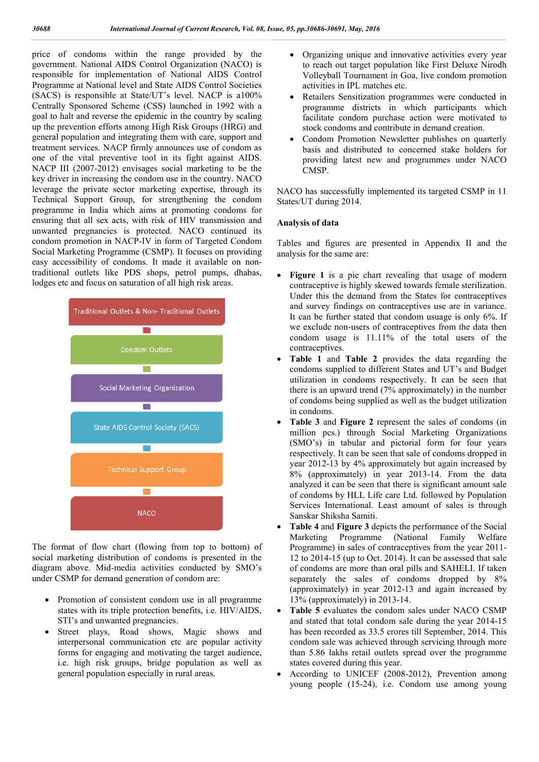price of condoms within the range provided by the government. National AIDS Control Organization (NACO) is responsible for implementation of National AIDS Control Programme at National level and State AIDS Control Societies (SACS) is responsible at State/UT's level. NACP is a100% Centrally Sponsored Scheme (CSS) launched in 1992 with a goal to halt and reverse the epidemic in the country by scaling up the prevention efforts among High Risk Groups (HRG) and general population and integrating them with care, support and treatment services. NACP firmly announces use of condom as one of the vital preventive tool in its fight against AIDS. NACP III (2007-2012) envisages social marketing to be the key driver in increasing the condom use in the country. NACO leverage the private sector marketing expertise, through its Technical Support Group, for strengthening the condom programme in India which aims at promoting condoms for ensuring that all sex acts, with risk of HIV transmission and unwanted pregnancies is protected. NACO continued its condom promotion in NACP-IV in form of Targeted Condom Social Marketing Programme (CSMP). It focuses on providing easy accessibility of condoms. It made it available on nontraditional outlets like PDS shops, petrol pumps, dhabas, lodges etc and focus on saturation of all high risk areas.



The format of flow chart (flowing from top to bottom) of social marketing distribution of condoms is presented in the diagram above. Mid-media activities conducted by SMO's under CSMP for demand generation of condom are:

- Promotion of consistent condom use in all programme states with its triple protection benefits, i.e. HIV/AIDS, STI's and unwanted pregnancies.
- Street plays, Road shows, Magic shows and interpersonal communication etc are popular activity forms for engaging and motivating the target audience, i.e. high risk groups, bridge population as well as general population especially in rural areas.
- Organizing unique and innovative activities every year to reach out target population like First Deluxe Nirodh Volleyball Tournament in Goa, live condom promotion activities in IPL matches etc.
- Retailers Sensitization programmes were conducted in programme districts in which participants which facilitate condom purchase action were motivated to stock condoms and contribute in demand creation.
- Condom Promotion Newsletter publishes on quarterly basis and distributed to concerned stake holders for providing latest new and programmes under NACO CMSP.

NACO has successfully implemented its targeted CSMP in 11 States/UT during 2014.

#### **Analysis of data**

Tables and figures are presented in Appendix II and the analysis for the same are:

- Figure 1 is a pie chart revealing that usage of modern contraceptive is highly skewed towards female sterilization. Under this the demand from the States for contraceptives and survey findings on contraceptives use are in variance. It can be further stated that condom usuage is only 6%. If we exclude non-users of contraceptives from the data then condom usage is 11.11% of the total users of the contraceptives.
- **Table 1** and **Table 2** provides the data regarding the condoms supplied to different States and UT's and Budget utilization in condoms respectively. It can be seen that there is an upward trend (7% approximately) in the number of condoms being supplied as well as the budget utilization in condoms.
- **Table 3** and **Figure 2** represent the sales of condoms (in million pcs.) through Social Marketing Organizations (SMO's) in tabular and pictorial form for four years respectively. It can be seen that sale of condoms dropped in year 2012-13 by 4% approximately but again increased by 8% (approximately) in year 2013-14. From the data analyzed it can be seen that there is significant amount sale of condoms by HLL Life care Ltd. followed by Population Services International. Least amount of sales is through Sanskar Shiksha Samiti.
- **Table 4** and **Figure 3** depicts the performance of the Social Marketing Programme (National Family Welfare Programme) in sales of contraceptives from the year 2011- 12 to 2014-15 (up to Oct. 2014). It can be assessed that sale of condoms are more than oral pills and SAHELI. If taken separately the sales of condoms dropped by 8% (approximately) in year 2012-13 and again increased by 13% (approximately) in 2013-14.
- **Table 5** evaluates the condom sales under NACO CSMP and stated that total condom sale during the year 2014-15 has been recorded as 33.5 crores till September, 2014. This condom sale was achieved through servicing through more than 5.86 lakhs retail outlets spread over the programme states covered during this year.
- According to UNICEF (2008-2012), Prevention among young people (15-24), i.e. Condom use among young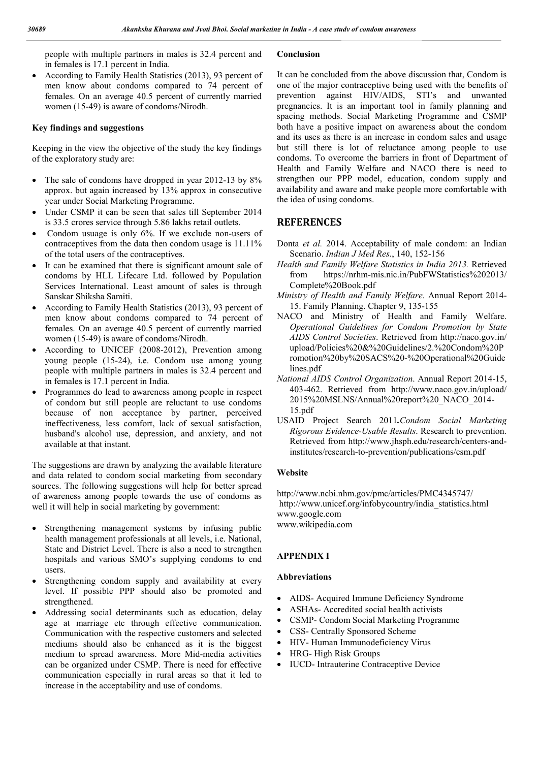people with multiple partners in males is 32.4 percent and in females is 17.1 percent in India.

 According to Family Health Statistics (2013), 93 percent of men know about condoms compared to 74 percent of females. On an average 40.5 percent of currently married women (15-49) is aware of condoms/Nirodh.

#### **Key findings and suggestions**

Keeping in the view the objective of the study the key findings of the exploratory study are:

- The sale of condoms have dropped in year 2012-13 by 8% approx. but again increased by 13% approx in consecutive year under Social Marketing Programme.
- Under CSMP it can be seen that sales till September 2014 is 33.5 crores service through 5.86 lakhs retail outlets.
- Condom usuage is only 6%. If we exclude non-users of contraceptives from the data then condom usage is 11.11% of the total users of the contraceptives.
- It can be examined that there is significant amount sale of condoms by HLL Lifecare Ltd. followed by Population Services International. Least amount of sales is through Sanskar Shiksha Samiti.
- According to Family Health Statistics (2013), 93 percent of men know about condoms compared to 74 percent of females. On an average 40.5 percent of currently married women (15-49) is aware of condoms/Nirodh.
- According to UNICEF (2008-2012), Prevention among young people (15-24), i.e. Condom use among young people with multiple partners in males is 32.4 percent and in females is 17.1 percent in India.
- Programmes do lead to awareness among people in respect of condom but still people are reluctant to use condoms because of non acceptance by partner, perceived ineffectiveness, less comfort, lack of sexual satisfaction, husband's alcohol use, depression, and anxiety, and not available at that instant.

The suggestions are drawn by analyzing the available literature and data related to condom social marketing from secondary sources. The following suggestions will help for better spread of awareness among people towards the use of condoms as well it will help in social marketing by government:

- Strengthening management systems by infusing public health management professionals at all levels, i.e. National, State and District Level. There is also a need to strengthen hospitals and various SMO's supplying condoms to end users.
- Strengthening condom supply and availability at every level. If possible PPP should also be promoted and strengthened.
- Addressing social determinants such as education, delay age at marriage etc through effective communication. Communication with the respective customers and selected mediums should also be enhanced as it is the biggest medium to spread awareness. More Mid-media activities can be organized under CSMP. There is need for effective communication especially in rural areas so that it led to increase in the acceptability and use of condoms.

#### **Conclusion**

It can be concluded from the above discussion that, Condom is one of the major contraceptive being used with the benefits of prevention against HIV/AIDS, STI's and unwanted pregnancies. It is an important tool in family planning and spacing methods. Social Marketing Programme and CSMP both have a positive impact on awareness about the condom and its uses as there is an increase in condom sales and usage but still there is lot of reluctance among people to use condoms. To overcome the barriers in front of Department of Health and Family Welfare and NACO there is need to strengthen our PPP model, education, condom supply and availability and aware and make people more comfortable with the idea of using condoms.

# **REFERENCES**

- Donta *et al.* 2014. Acceptability of male condom: an Indian Scenario. *Indian J Med Res*., 140, 152-156
- *Health and Family Welfare Statistics in India 2013.* Retrieved from https://nrhm-mis.nic.in/PubFWStatistics%202013/ Complete%20Book.pdf
- *Ministry of Health and Family Welfare*. Annual Report 2014- 15. Family Planning. Chapter 9, 135-155
- NACO and Ministry of Health and Family Welfare. *Operational Guidelines for Condom Promotion by State AIDS Control Societies*. Retrieved from http://naco.gov.in/ upload/Policies%20&%20Guidelines/2.%20Condom%20P romotion%20by%20SACS%20-%20Operational%20Guide lines.pdf
- *National AIDS Control Organization*. Annual Report 2014-15, 403-462. Retrieved from http://www.naco.gov.in/upload/ 2015%20MSLNS/Annual%20report%20\_NACO\_2014- 15.pdf
- USAID Project Search 2011*.Condom Social Marketing Rigorous Evidence-Usable Results*. Research to prevention. Retrieved from http://www.jhsph.edu/research/centers-andinstitutes/research-to-prevention/publications/csm.pdf

#### **Website**

http://www.ncbi.nhm.gov/pmc/articles/PMC4345747/ http://www.unicef.org/infobycountry/india\_statistics.html www.google.com www.wikipedia.com

### **APPENDIX I**

#### **Abbreviations**

- AIDS- Acquired Immune Deficiency Syndrome
- ASHAs- Accredited social health activists
- CSMP- Condom Social Marketing Programme
- CSS- Centrally Sponsored Scheme
	- HIV- Human Immunodeficiency Virus
- HRG- High Risk Groups
- IUCD- Intrauterine Contraceptive Device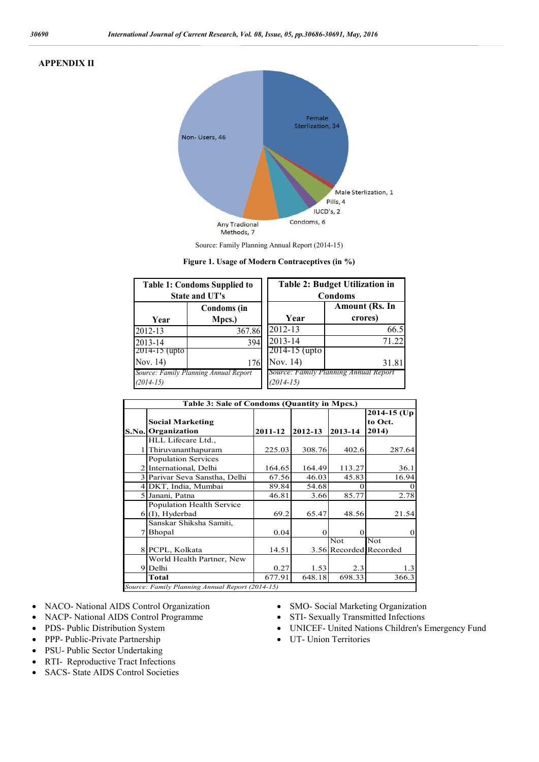### **APPENDIX II**



Source: Family Planning Annual Report (2014-15)

| <b>Table 1: Condoms Supplied to</b><br><b>State and UT's</b> |                              | <b>Table 2: Budget Utilization in</b><br>Condoms |                                       |
|--------------------------------------------------------------|------------------------------|--------------------------------------------------|---------------------------------------|
| Year                                                         | <b>Condoms</b> (in<br>Mpcs.) | Year                                             | Amount (Rs. In<br>crores)             |
| 2012-13                                                      | 367.86                       | 2012-13                                          | 66.5                                  |
| 2013-14                                                      | 394                          | 2013-14                                          | 71 22                                 |
| $2014 - 15$ (upto)                                           |                              | $2014 - 15$ (upto                                |                                       |
| Nov. 14)                                                     | 176                          | Nov. 14)                                         | 31.81                                 |
| Source: Family Planning Annual Report<br>$(2014-15)$         |                              | $(2014-15)$                                      | Source: Family Planning Annual Report |

**Figure 1. Usage of Modern Contraceptives (in %)**

| Table 3: Sale of Condoms (Quantity in Mpcs.)    |                                  |         |         |                        |                             |
|-------------------------------------------------|----------------------------------|---------|---------|------------------------|-----------------------------|
|                                                 | <b>Social Marketing</b>          |         |         |                        | $2014 - 15$ (Up)<br>to Oct. |
| S.No.                                           | Organization                     | 2011-12 | 2012-13 | 2013-14                | 2014)                       |
|                                                 | HLL Lifecare Ltd.,               |         |         |                        |                             |
|                                                 | Thiruvananthapuram               | 225.03  | 308.76  | 402.6                  | 287.64                      |
|                                                 | <b>Population Services</b>       |         |         |                        |                             |
| $\overline{2}$                                  | International, Delhi             | 164.65  | 164.49  | 113.27                 | 36.1                        |
|                                                 | 3 Parivar Seva Sanstha, Delhi    | 67.56   | 46.03   | 45.83                  | 16.94                       |
|                                                 | 4 DKT, India, Mumbai             | 89.84   | 54.68   | 0                      |                             |
|                                                 | 5 Janani, Patna                  | 46.81   | 3.66    | 85.77                  | 2.78                        |
|                                                 | <b>Population Health Service</b> |         |         |                        |                             |
|                                                 | $6(1)$ , Hyderbad                | 69.2    | 65.47   | 48.56                  | 21.54                       |
|                                                 | Sanskar Shiksha Samiti,          |         |         |                        |                             |
|                                                 | Bhopal                           | 0.04    | 0       | $\Omega$               |                             |
|                                                 |                                  |         |         | Not                    | Not                         |
|                                                 | 8 PCPL, Kolkata                  | 14.51   |         | 3.56 Recorded Recorded |                             |
|                                                 | World Health Partner, New        |         |         |                        |                             |
| 91                                              | Delhi                            | 0.27    | 1.53    | 2.3                    | 1.3                         |
|                                                 | <b>Total</b>                     | 677.91  | 648.18  | 698.33                 | 366.3                       |
| Source: Family Planning Annual Report (2014-15) |                                  |         |         |                        |                             |

- NACO- National AIDS Control Organization
- NACP- National AIDS Control Programme
- PDS- Public Distribution System
- PPP- Public-Private Partnership
- PSU- Public Sector Undertaking
- RTI- Reproductive Tract Infections
- SACS- State AIDS Control Societies
- SMO- Social Marketing Organization
- STI- Sexually Transmitted Infections
- UNICEF- United Nations Children's Emergency Fund
- UT- Union Territories